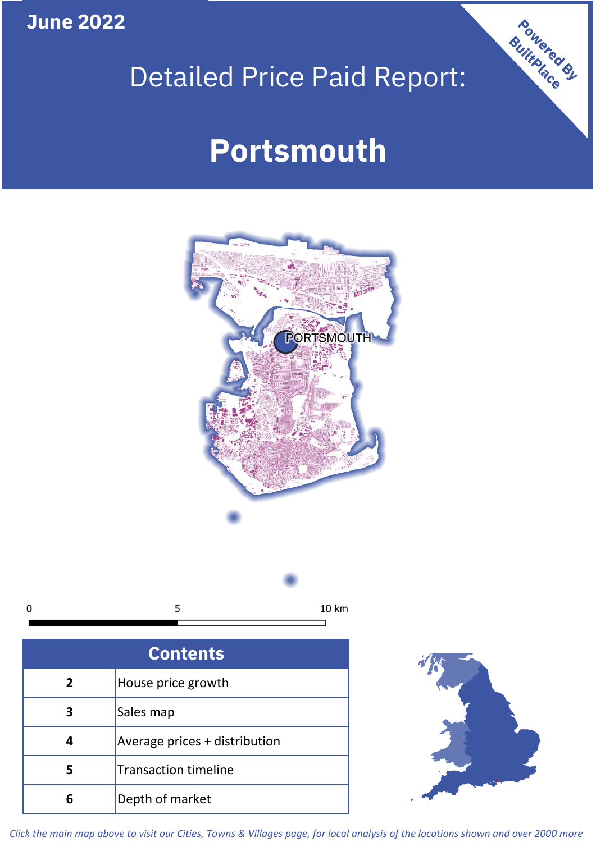**June 2022**

# Detailed Price Paid Report:

# **Portsmouth**





| <b>Contents</b> |                               |  |  |
|-----------------|-------------------------------|--|--|
| $\overline{2}$  | House price growth            |  |  |
|                 | Sales map                     |  |  |
|                 | Average prices + distribution |  |  |
| 5               | <b>Transaction timeline</b>   |  |  |
| 6               | Depth of market               |  |  |



Powered By

*Click the main map above to visit our Cities, Towns & Villages page, for local analysis of the locations shown and over 2000 more*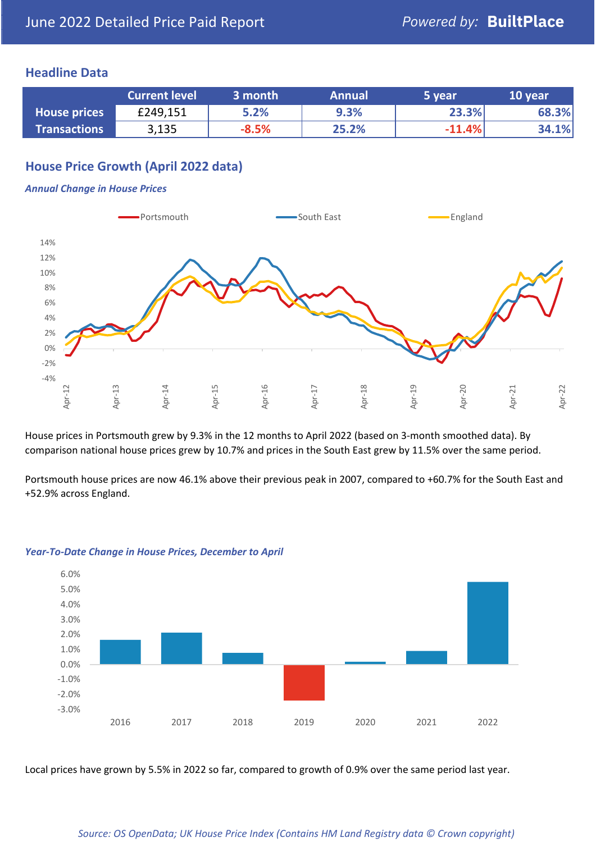### **Headline Data**

|                     | <b>Current level</b> | ا 3 month | <b>Annual</b> | 5 year   | 10 year |
|---------------------|----------------------|-----------|---------------|----------|---------|
| <b>House prices</b> | £249,151             | 5.2%      | 9.3%          | 23.3%    | 68.3%   |
| <b>Transactions</b> | 3,135                | $-8.5%$   | 25.2%         | $-11.4%$ | 34.1%   |

# **House Price Growth (April 2022 data)**

#### *Annual Change in House Prices*



House prices in Portsmouth grew by 9.3% in the 12 months to April 2022 (based on 3-month smoothed data). By comparison national house prices grew by 10.7% and prices in the South East grew by 11.5% over the same period.

Portsmouth house prices are now 46.1% above their previous peak in 2007, compared to +60.7% for the South East and +52.9% across England.



#### *Year-To-Date Change in House Prices, December to April*

Local prices have grown by 5.5% in 2022 so far, compared to growth of 0.9% over the same period last year.

#### *Source: OS OpenData; UK House Price Index (Contains HM Land Registry data © Crown copyright)*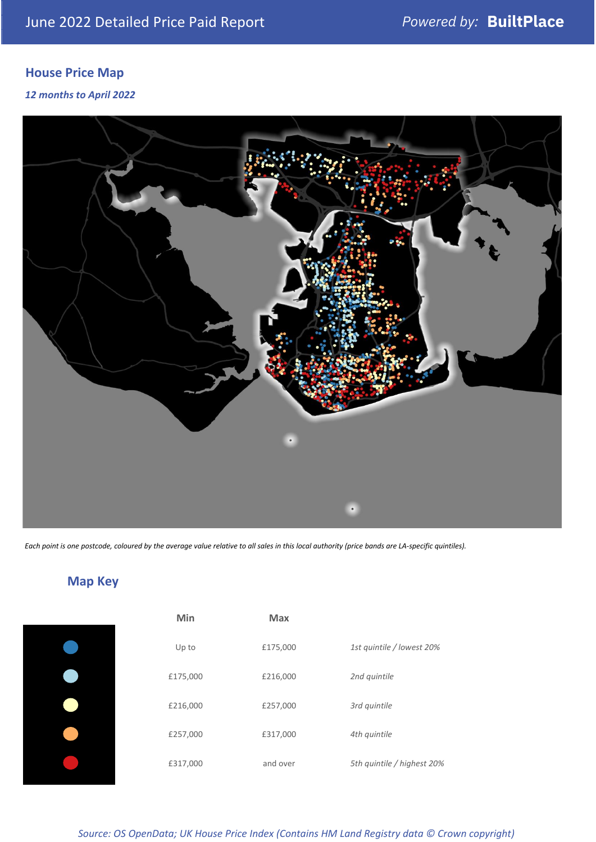# **House Price Map**

*12 months to April 2022*



*Each point is one postcode, coloured by the average value relative to all sales in this local authority (price bands are LA-specific quintiles).*

**Map Key**

| Min      | <b>Max</b> |                            |
|----------|------------|----------------------------|
| Up to    | £175,000   | 1st quintile / lowest 20%  |
| £175,000 | £216,000   | 2nd quintile               |
| £216,000 | £257,000   | 3rd quintile               |
| £257,000 | £317,000   | 4th quintile               |
| £317,000 | and over   | 5th quintile / highest 20% |

#### *Source: OS OpenData; UK House Price Index (Contains HM Land Registry data © Crown copyright)*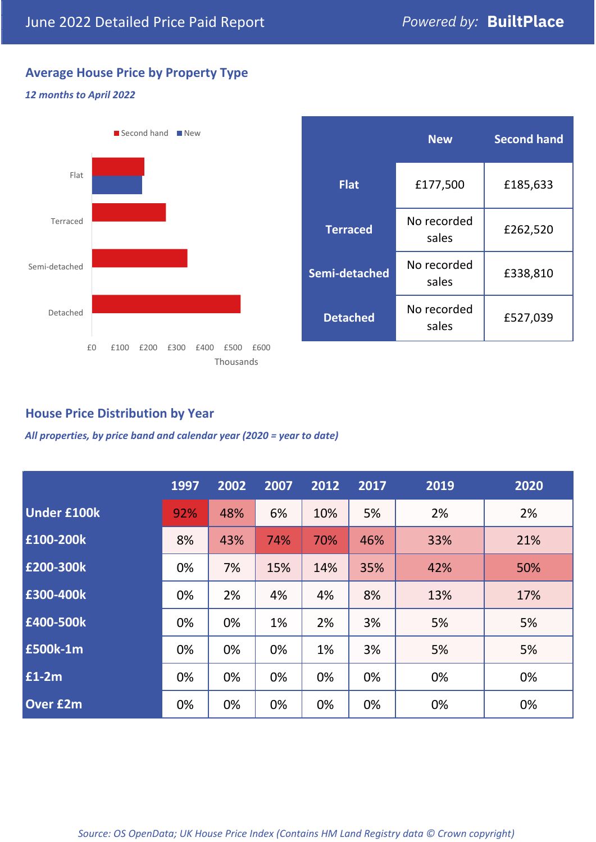# **Average House Price by Property Type**

#### *12 months to April 2022*



|                 | <b>New</b>           | <b>Second hand</b> |  |
|-----------------|----------------------|--------------------|--|
| <b>Flat</b>     | £177,500             | £185,633           |  |
| <b>Terraced</b> | No recorded<br>sales | £262,520           |  |
| Semi-detached   | No recorded<br>sales | £338,810           |  |
| <b>Detached</b> | No recorded<br>sales | £527,039           |  |

## **House Price Distribution by Year**

*All properties, by price band and calendar year (2020 = year to date)*

|                    | 1997 | 2002 | 2007 | 2012 | 2017 | 2019 | 2020 |
|--------------------|------|------|------|------|------|------|------|
| <b>Under £100k</b> | 92%  | 48%  | 6%   | 10%  | 5%   | 2%   | 2%   |
| £100-200k          | 8%   | 43%  | 74%  | 70%  | 46%  | 33%  | 21%  |
| E200-300k          | 0%   | 7%   | 15%  | 14%  | 35%  | 42%  | 50%  |
| £300-400k          | 0%   | 2%   | 4%   | 4%   | 8%   | 13%  | 17%  |
| £400-500k          | 0%   | 0%   | 1%   | 2%   | 3%   | 5%   | 5%   |
| <b>£500k-1m</b>    | 0%   | 0%   | 0%   | 1%   | 3%   | 5%   | 5%   |
| £1-2m              | 0%   | 0%   | 0%   | 0%   | 0%   | 0%   | 0%   |
| <b>Over £2m</b>    | 0%   | 0%   | 0%   | 0%   | 0%   | 0%   | 0%   |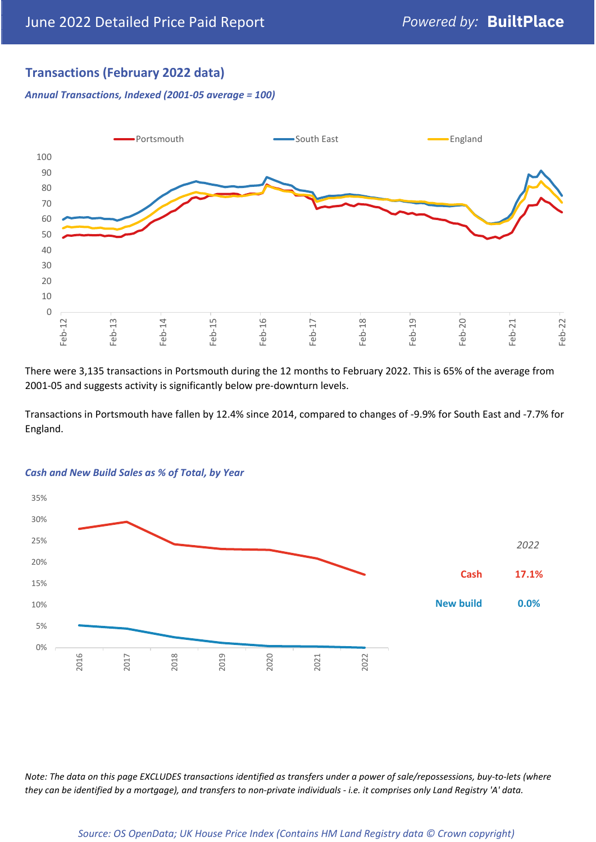# **Transactions (February 2022 data)**

*Annual Transactions, Indexed (2001-05 average = 100)*



There were 3,135 transactions in Portsmouth during the 12 months to February 2022. This is 65% of the average from 2001-05 and suggests activity is significantly below pre-downturn levels.

Transactions in Portsmouth have fallen by 12.4% since 2014, compared to changes of -9.9% for South East and -7.7% for England.



#### *Cash and New Build Sales as % of Total, by Year*

*Note: The data on this page EXCLUDES transactions identified as transfers under a power of sale/repossessions, buy-to-lets (where they can be identified by a mortgage), and transfers to non-private individuals - i.e. it comprises only Land Registry 'A' data.*